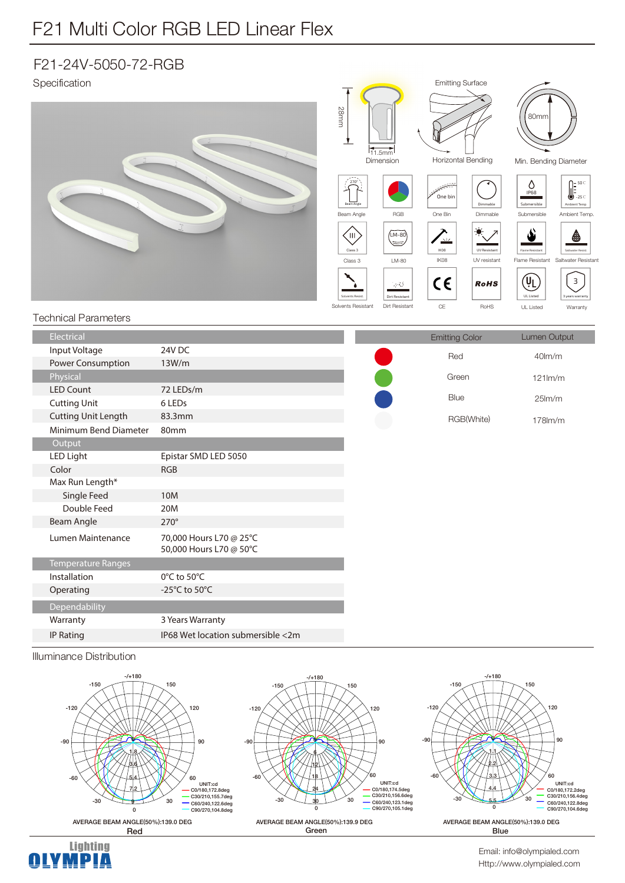## F21 Multi Color RGB LED Linear Flex

## F21-24V-5050-72-RGB



Illuminance Distribution

IP Rating IP68 Wet location submersible <2m